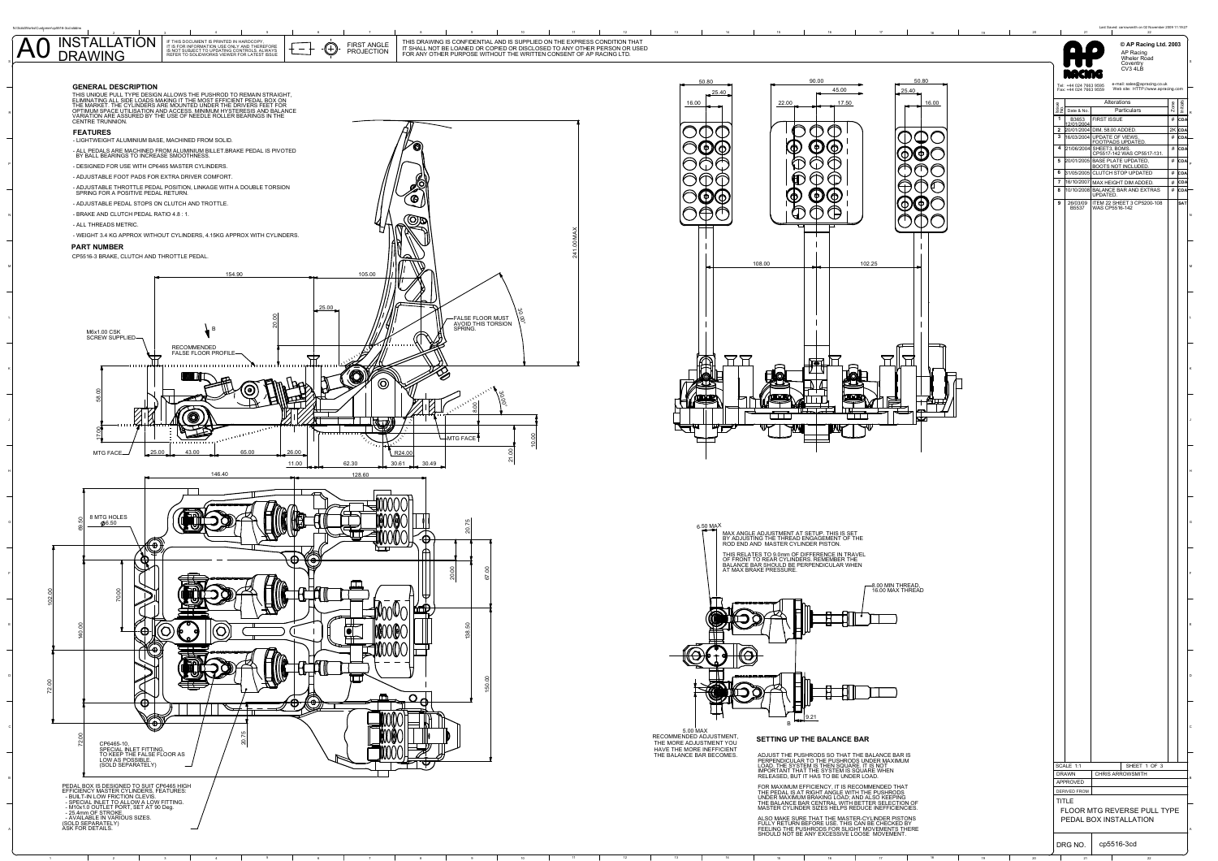

<sup>2</sup>

<sup>4</sup> <sup>5</sup> <sup>6</sup> <sup>7</sup> <sup>8</sup> <sup>9</sup> <sup>10</sup> <sup>11</sup> <sup>12</sup> <sup>13</sup> <sup>14</sup> <sup>15</sup> <sup>16</sup> <sup>17</sup> <sup>18</sup> <sup>19</sup> <sup>20</sup> <sup>21</sup> <sup>22</sup>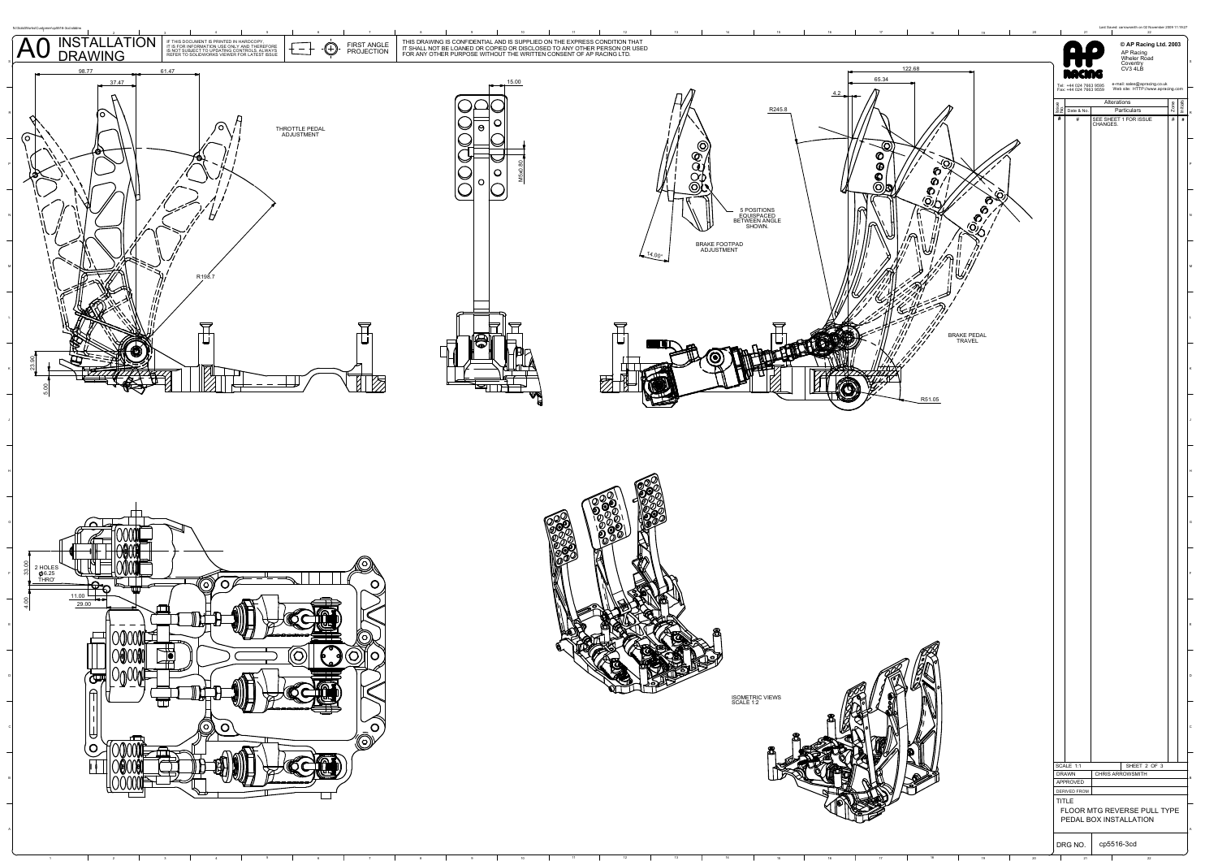